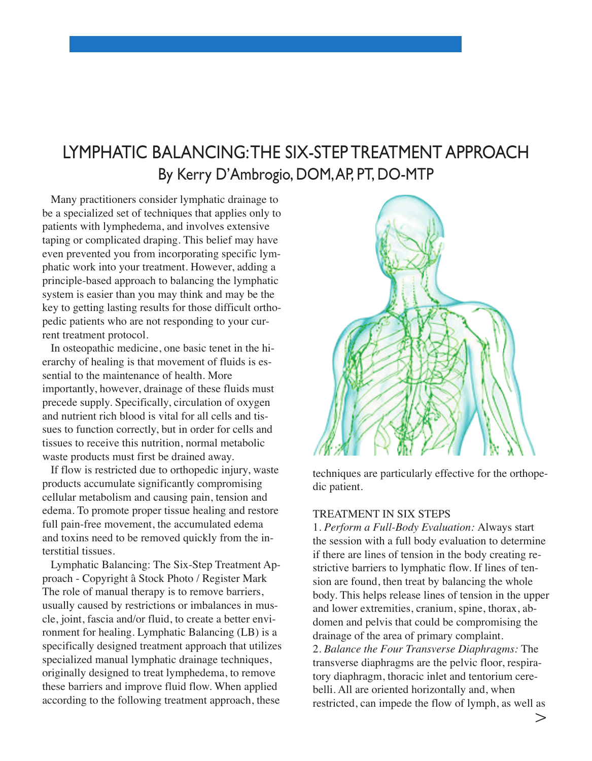## LYMPHATIC BALANCING: THE SIX-STEP TREATMENT APPROACH By Kerry D'Ambrogio, DOM, AP, PT, DO-MTP

Many practitioners consider lymphatic drainage to be a specialized set of techniques that applies only to patients with lymphedema, and involves extensive taping or complicated draping. This belief may have even prevented you from incorporating specific lymphatic work into your treatment. However, adding a principle-based approach to balancing the lymphatic system is easier than you may think and may be the key to getting lasting results for those difficult orthopedic patients who are not responding to your current treatment protocol.

In osteopathic medicine, one basic tenet in the hierarchy of healing is that movement of fluids is essential to the maintenance of health. more importantly, however, drainage of these fluids must precede supply. Specifically, circulation of oxygen and nutrient rich blood is vital for all cells and tissues to function correctly, but in order for cells and tissues to receive this nutrition, normal metabolic waste products must first be drained away.

If flow is restricted due to orthopedic injury, waste products accumulate significantly compromising cellular metabolism and causing pain, tension and edema. To promote proper tissue healing and restore full pain-free movement, the accumulated edema and toxins need to be removed quickly from the interstitial tissues.

Lymphatic Balancing: The Six-Step Treatment approach - Copyright â Stock Photo / Register Mark The role of manual therapy is to remove barriers, usually caused by restrictions or imbalances in muscle, joint, fascia and/or fluid, to create a better environment for healing. Lymphatic Balancing (LB) is a specifically designed treatment approach that utilizes specialized manual lymphatic drainage techniques, originally designed to treat lymphedema, to remove these barriers and improve fluid flow. When applied according to the following treatment approach, these



techniques are particularly effective for the orthopedic patient.

## TreaTmenT in Six STepS

1. *Perform a Full-Body Evaluation:* always start the session with a full body evaluation to determine if there are lines of tension in the body creating restrictive barriers to lymphatic flow. if lines of tension are found, then treat by balancing the whole body. This helps release lines of tension in the upper and lower extremities, cranium, spine, thorax, abdomen and pelvis that could be compromising the drainage of the area of primary complaint. 2. *Balance the Four Transverse Diaphragms:* The transverse diaphragms are the pelvic floor, respiratory diaphragm, thoracic inlet and tentorium cerebelli. All are oriented horizontally and, when restricted, can impede the flow of lymph, as well as